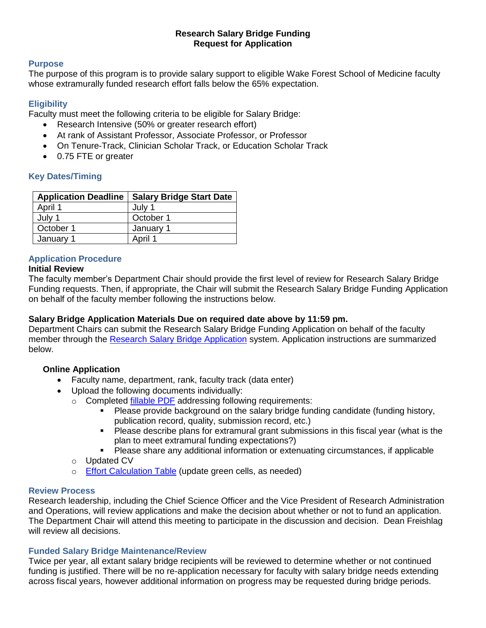#### **Research Salary Bridge Funding Request for Application**

#### **Purpose**

The purpose of this program is to provide salary support to eligible Wake Forest School of Medicine faculty whose extramurally funded research effort falls below the 65% expectation.

#### **Eligibility**

Faculty must meet the following criteria to be eligible for Salary Bridge:

- Research Intensive (50% or greater research effort)
- At rank of Assistant Professor, Associate Professor, or Professor
- On Tenure-Track, Clinician Scholar Track, or Education Scholar Track
- 0.75 FTE or greater

## **Key Dates/Timing**

| <b>Application Deadline</b> | <b>Salary Bridge Start Date</b> |
|-----------------------------|---------------------------------|
| April 1                     | July 1                          |
| July 1                      | October 1                       |
| October 1                   | January 1                       |
| January 1                   | April 1                         |

# **Application Procedure**

#### **Initial Review**

The faculty member's Department Chair should provide the first level of review for Research Salary Bridge Funding requests. Then, if appropriate, the Chair will submit the Research Salary Bridge Funding Application on behalf of the faculty member following the instructions below.

### **Salary Bridge Application Materials Due on required date above by 11:59 pm.**

Department Chairs can submit the Research Salary Bridge Funding Application on behalf of the faculty member through the [Research Salary Bridge Application](https://redcap.wakehealth.edu/redcap/surveys/?s=3FX8AJDTKA) system. Application instructions are summarized below.

### **Online Application**

- Faculty name, department, rank, faculty track (data enter)
- Upload the following documents individually:
	- o Completed [fillable PDF](https://ctsi.wakehealth.edu/-/media/WakeForest/CTSI/Files/Funding-Opportunities/Bridge--ECSS-Chair-Application.pdf?la=en.) addressing following requirements:
		- Please provide background on the salary bridge funding candidate (funding history, publication record, quality, submission record, etc.)
		- **Please describe plans for extramural grant submissions in this fiscal year (what is the** plan to meet extramural funding expectations?)
		- Please share any additional information or extenuating circumstances, if applicable
	- o Updated CV
	- o [Effort Calculation Table](https://ctsi.wakehealth.edu/-/media/WakeForest/CTSI/Files/Funding-Opportunities/Effort-Calculation-Table-65.xlsx?la=en) (update green cells, as needed)

### **Review Process**

Research leadership, including the Chief Science Officer and the Vice President of Research Administration and Operations, will review applications and make the decision about whether or not to fund an application. The Department Chair will attend this meeting to participate in the discussion and decision. Dean Freishlag will review all decisions.

### **Funded Salary Bridge Maintenance/Review**

Twice per year, all extant salary bridge recipients will be reviewed to determine whether or not continued funding is justified. There will be no re-application necessary for faculty with salary bridge needs extending across fiscal years, however additional information on progress may be requested during bridge periods.